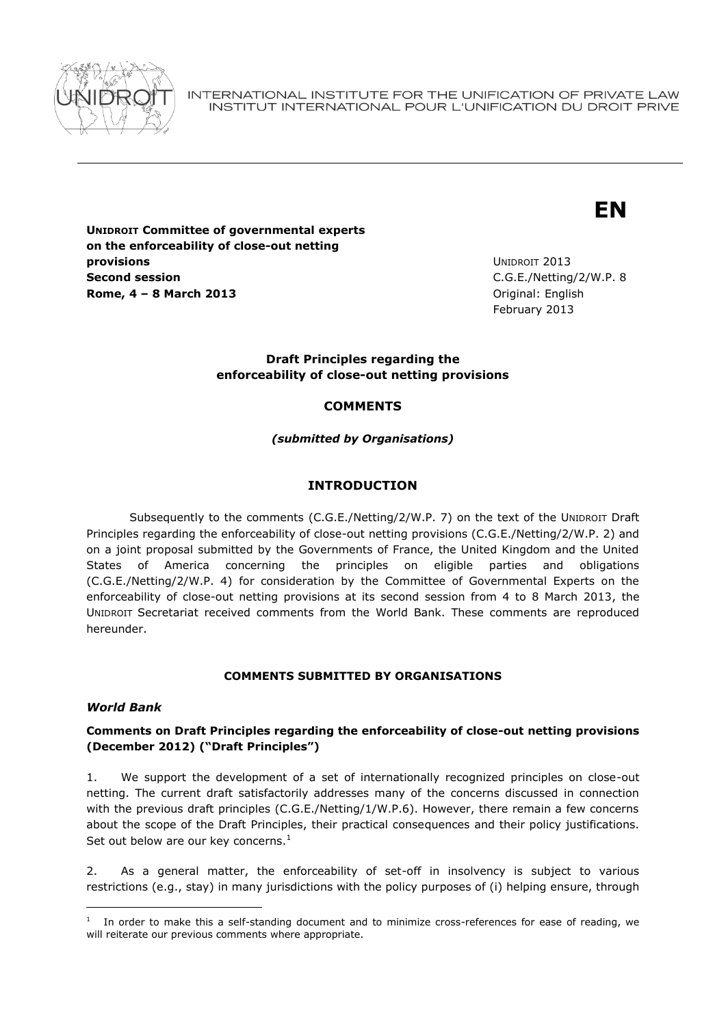

INTERNATIONAL INSTITUTE FOR THE UNIFICATION OF PRIVATE LAW INSTITUT INTERNATIONAL POUR L'UNIFICATION DU DROIT PRIVE

# **EN**

**UNIDROIT Committee of governmental experts on the enforceability of close-out netting provisions Second session Rome, 4 – 8 March 2013** Original: English

UNIDROIT 2013 C.G.E./Netting/2/W.P. 8 February 2013

## **Draft Principles regarding the enforceability of close-out netting provisions**

# **COMMENTS**

*(submitted by Organisations)*

## **INTRODUCTION**

Subsequently to the comments (C.G.E./Netting/2/W.P. 7) on the text of the UNIDROIT Draft Principles regarding the enforceability of close-out netting provisions (C.G.E./Netting/2/W.P. 2) and on a joint proposal submitted by the Governments of France, the United Kingdom and the United States of America concerning the principles on eligible parties and obligations (C.G.E./Netting/2/W.P. 4) for consideration by the Committee of Governmental Experts on the enforceability of close-out netting provisions at its second session from 4 to 8 March 2013, the UNIDROIT Secretariat received comments from the World Bank. These comments are reproduced hereunder.

## **COMMENTS SUBMITTED BY ORGANISATIONS**

## *World Bank*

## **Comments on Draft Principles regarding the enforceability of close-out netting provisions (December 2012) ("Draft Principles")**

1. We support the development of a set of internationally recognized principles on close-out netting. The current draft satisfactorily addresses many of the concerns discussed in connection with the previous draft principles (C.G.E./Netting/1/W.P.6). However, there remain a few concerns about the scope of the Draft Principles, their practical consequences and their policy justifications. Set out below are our key concerns. $<sup>1</sup>$ </sup>

2. As a general matter, the enforceability of set-off in insolvency is subject to various restrictions (e.g., stay) in many jurisdictions with the policy purposes of (i) helping ensure, through

 $1$  In order to make this a self-standing document and to minimize cross-references for ease of reading, we will reiterate our previous comments where appropriate.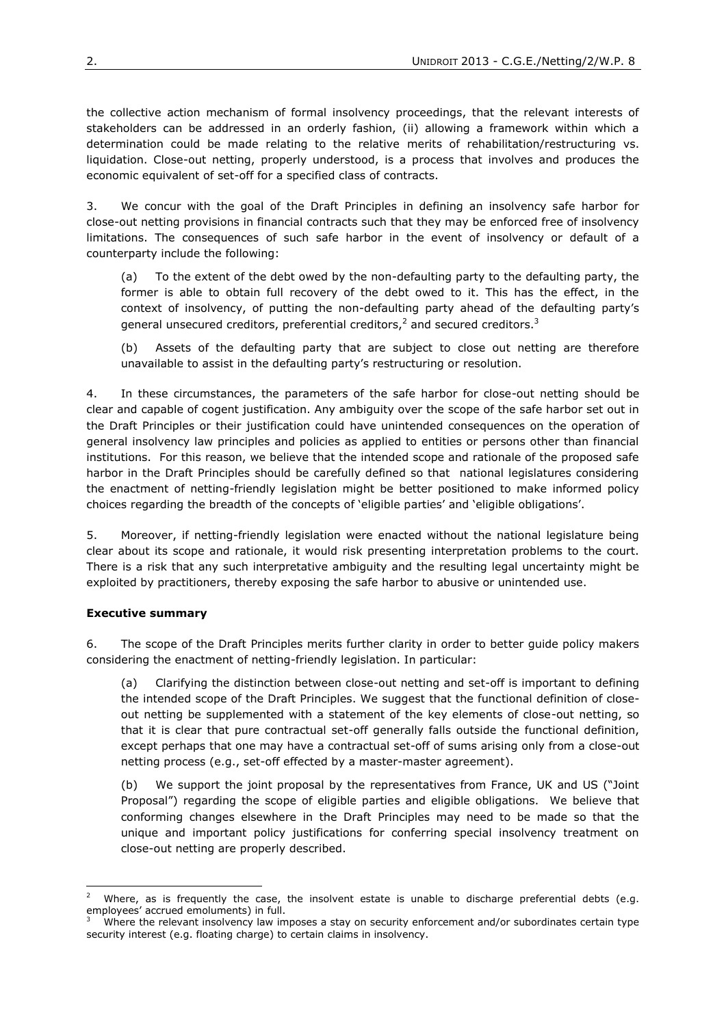the collective action mechanism of formal insolvency proceedings, that the relevant interests of stakeholders can be addressed in an orderly fashion, (ii) allowing a framework within which a determination could be made relating to the relative merits of rehabilitation/restructuring vs. liquidation. Close-out netting, properly understood, is a process that involves and produces the economic equivalent of set-off for a specified class of contracts.

3. We concur with the goal of the Draft Principles in defining an insolvency safe harbor for close-out netting provisions in financial contracts such that they may be enforced free of insolvency limitations. The consequences of such safe harbor in the event of insolvency or default of a counterparty include the following:

(a) To the extent of the debt owed by the non-defaulting party to the defaulting party, the former is able to obtain full recovery of the debt owed to it. This has the effect, in the context of insolvency, of putting the non-defaulting party ahead of the defaulting party's general unsecured creditors, preferential creditors, $^2$  and secured creditors.<sup>3</sup>

(b) Assets of the defaulting party that are subject to close out netting are therefore unavailable to assist in the defaulting party's restructuring or resolution.

4. In these circumstances, the parameters of the safe harbor for close-out netting should be clear and capable of cogent justification. Any ambiguity over the scope of the safe harbor set out in the Draft Principles or their justification could have unintended consequences on the operation of general insolvency law principles and policies as applied to entities or persons other than financial institutions. For this reason, we believe that the intended scope and rationale of the proposed safe harbor in the Draft Principles should be carefully defined so that national legislatures considering the enactment of netting-friendly legislation might be better positioned to make informed policy choices regarding the breadth of the concepts of 'eligible parties' and 'eligible obligations'.

5. Moreover, if netting-friendly legislation were enacted without the national legislature being clear about its scope and rationale, it would risk presenting interpretation problems to the court. There is a risk that any such interpretative ambiguity and the resulting legal uncertainty might be exploited by practitioners, thereby exposing the safe harbor to abusive or unintended use.

## **Executive summary**

 $\overline{a}$ 

6. The scope of the Draft Principles merits further clarity in order to better guide policy makers considering the enactment of netting-friendly legislation. In particular:

(a) Clarifying the distinction between close-out netting and set-off is important to defining the intended scope of the Draft Principles. We suggest that the functional definition of closeout netting be supplemented with a statement of the key elements of close-out netting, so that it is clear that pure contractual set-off generally falls outside the functional definition, except perhaps that one may have a contractual set-off of sums arising only from a close-out netting process (e.g., set-off effected by a master-master agreement).

(b) We support the joint proposal by the representatives from France, UK and US ("Joint Proposal") regarding the scope of eligible parties and eligible obligations. We believe that conforming changes elsewhere in the Draft Principles may need to be made so that the unique and important policy justifications for conferring special insolvency treatment on close-out netting are properly described.

Where, as is frequently the case, the insolvent estate is unable to discharge preferential debts (e.g. employees' accrued emoluments) in full.

Where the relevant insolvency law imposes a stay on security enforcement and/or subordinates certain type security interest (e.g. floating charge) to certain claims in insolvency.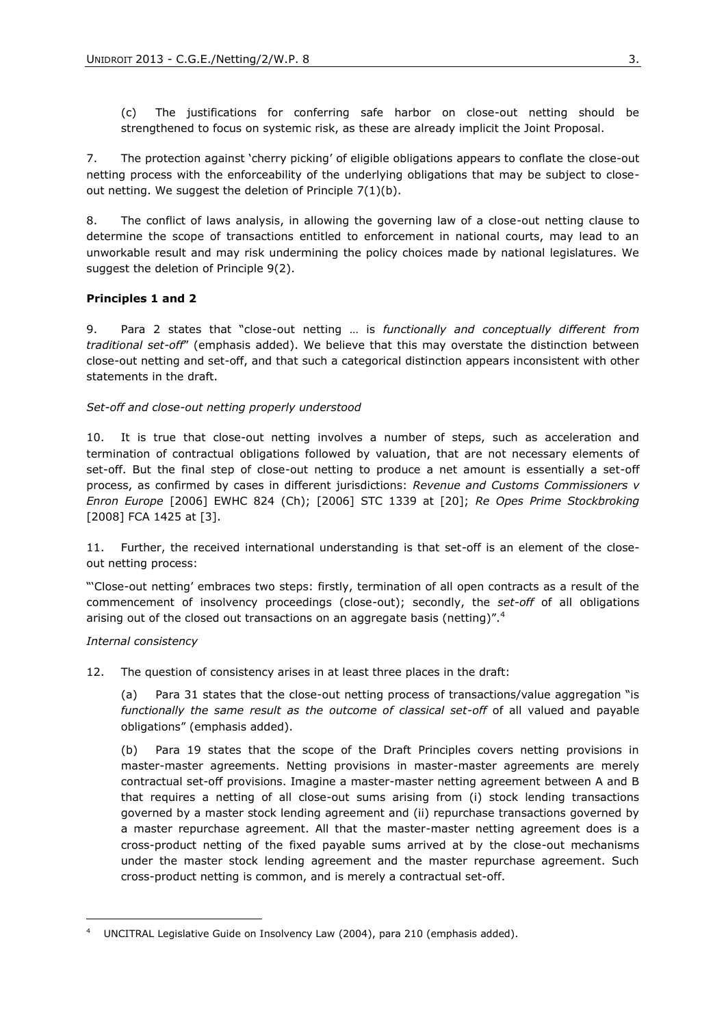(c) The justifications for conferring safe harbor on close-out netting should be strengthened to focus on systemic risk, as these are already implicit the Joint Proposal.

7. The protection against 'cherry picking' of eligible obligations appears to conflate the close-out netting process with the enforceability of the underlying obligations that may be subject to closeout netting. We suggest the deletion of Principle 7(1)(b).

8. The conflict of laws analysis, in allowing the governing law of a close-out netting clause to determine the scope of transactions entitled to enforcement in national courts, may lead to an unworkable result and may risk undermining the policy choices made by national legislatures. We suggest the deletion of Principle 9(2).

#### **Principles 1 and 2**

9. Para 2 states that "close-out netting … is *functionally and conceptually different from traditional set-off*" (emphasis added). We believe that this may overstate the distinction between close-out netting and set-off, and that such a categorical distinction appears inconsistent with other statements in the draft.

#### *Set-off and close-out netting properly understood*

10. It is true that close-out netting involves a number of steps, such as acceleration and termination of contractual obligations followed by valuation, that are not necessary elements of set-off. But the final step of close-out netting to produce a net amount is essentially a set-off process, as confirmed by cases in different jurisdictions: *Revenue and Customs Commissioners v Enron Europe* [2006] EWHC 824 (Ch); [2006] STC 1339 at [20]; *Re Opes Prime Stockbroking* [2008] FCA 1425 at [3].

11. Further, the received international understanding is that set-off is an element of the closeout netting process:

"'Close-out netting' embraces two steps: firstly, termination of all open contracts as a result of the commencement of insolvency proceedings (close-out); secondly, the *set-off* of all obligations arising out of the closed out transactions on an aggregate basis (netting)".<sup>4</sup>

#### *Internal consistency*

12. The question of consistency arises in at least three places in the draft:

(a) Para 31 states that the close-out netting process of transactions/value aggregation "is *functionally the same result as the outcome of classical set-off* of all valued and payable obligations" (emphasis added).

<span id="page-2-0"></span>(b) Para 19 states that the scope of the Draft Principles covers netting provisions in master-master agreements. Netting provisions in master-master agreements are merely contractual set-off provisions. Imagine a master-master netting agreement between A and B that requires a netting of all close-out sums arising from (i) stock lending transactions governed by a master stock lending agreement and (ii) repurchase transactions governed by a master repurchase agreement. All that the master-master netting agreement does is a cross-product netting of the fixed payable sums arrived at by the close-out mechanisms under the master stock lending agreement and the master repurchase agreement. Such cross-product netting is common, and is merely a contractual set-off.

<sup>4</sup> UNCITRAL Legislative Guide on Insolvency Law (2004), para 210 (emphasis added).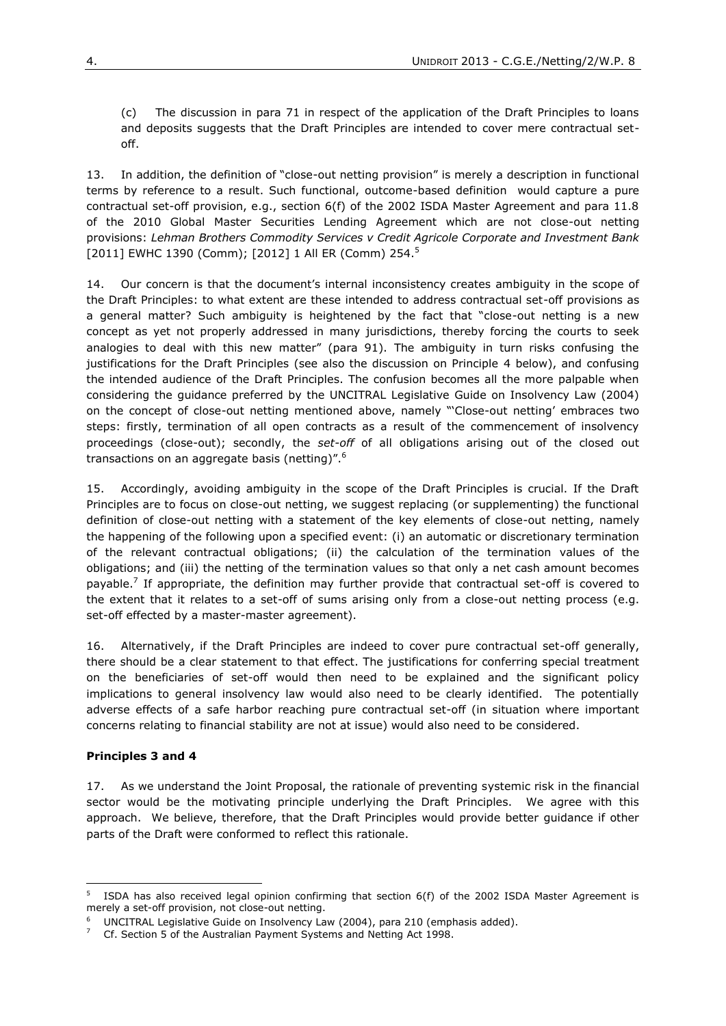(c) The discussion in para 71 in respect of the application of the Draft Principles to loans and deposits suggests that the Draft Principles are intended to cover mere contractual setoff.

13. In addition, the definition of "close-out netting provision" is merely a description in functional terms by reference to a result. Such functional, outcome-based definition would capture a pure contractual set-off provision, e.g., section 6(f) of the 2002 ISDA Master Agreement and para 11.8 of the 2010 Global Master Securities Lending Agreement which are not close-out netting provisions: *Lehman Brothers Commodity Services v Credit Agricole Corporate and Investment Bank* [2011] EWHC 1390 (Comm); [2012] 1 All ER (Comm) 254.<sup>5</sup>

14. Our concern is that the document's internal inconsistency creates ambiguity in the scope of the Draft Principles: to what extent are these intended to address contractual set-off provisions as a general matter? Such ambiguity is heightened by the fact that "close-out netting is a new concept as yet not properly addressed in many jurisdictions, thereby forcing the courts to seek analogies to deal with this new matter" (para 91). The ambiguity in turn risks confusing the justifications for the Draft Principles (see also the discussion on Principle 4 below), and confusing the intended audience of the Draft Principles. The confusion becomes all the more palpable when considering the guidance preferred by the UNCITRAL Legislative Guide on Insolvency Law (2004) on the concept of close-out netting mentioned above, namely "'Close-out netting' embraces two steps: firstly, termination of all open contracts as a result of the commencement of insolvency proceedings (close-out); secondly, the *set-off* of all obligations arising out of the closed out transactions on an aggregate basis (netting)".<sup>6</sup>

15. Accordingly, avoiding ambiguity in the scope of the Draft Principles is crucial. If the Draft Principles are to focus on close-out netting, we suggest replacing (or supplementing) the functional definition of close-out netting with a statement of the key elements of close-out netting, namely the happening of the following upon a specified event: (i) an automatic or discretionary termination of the relevant contractual obligations; (ii) the calculation of the termination values of the obligations; and (iii) the netting of the termination values so that only a net cash amount becomes payable.<sup>7</sup> If appropriate, the definition may further provide that contractual set-off is covered to the extent that it relates to a set-off of sums arising only from a close-out netting process (e.g. set-off effected by a master-master agreement).

16. Alternatively, if the Draft Principles are indeed to cover pure contractual set-off generally, there should be a clear statement to that effect. The justifications for conferring special treatment on the beneficiaries of set-off would then need to be explained and the significant policy implications to general insolvency law would also need to be clearly identified. The potentially adverse effects of a safe harbor reaching pure contractual set-off (in situation where important concerns relating to financial stability are not at issue) would also need to be considered.

## **Principles 3 and 4**

17. As we understand the Joint Proposal, the rationale of preventing systemic risk in the financial sector would be the motivating principle underlying the Draft Principles. We agree with this approach. We believe, therefore, that the Draft Principles would provide better guidance if other parts of the Draft were conformed to reflect this rationale.

 5 ISDA has also received legal opinion confirming that section 6(f) of the 2002 ISDA Master Agreement is merely a set-off provision, not close-out netting.

UNCITRAL Legislative Guide on Insolvency Law (2004), para 210 (emphasis added).

 $7$  Cf. Section 5 of the Australian Payment Systems and Netting Act 1998.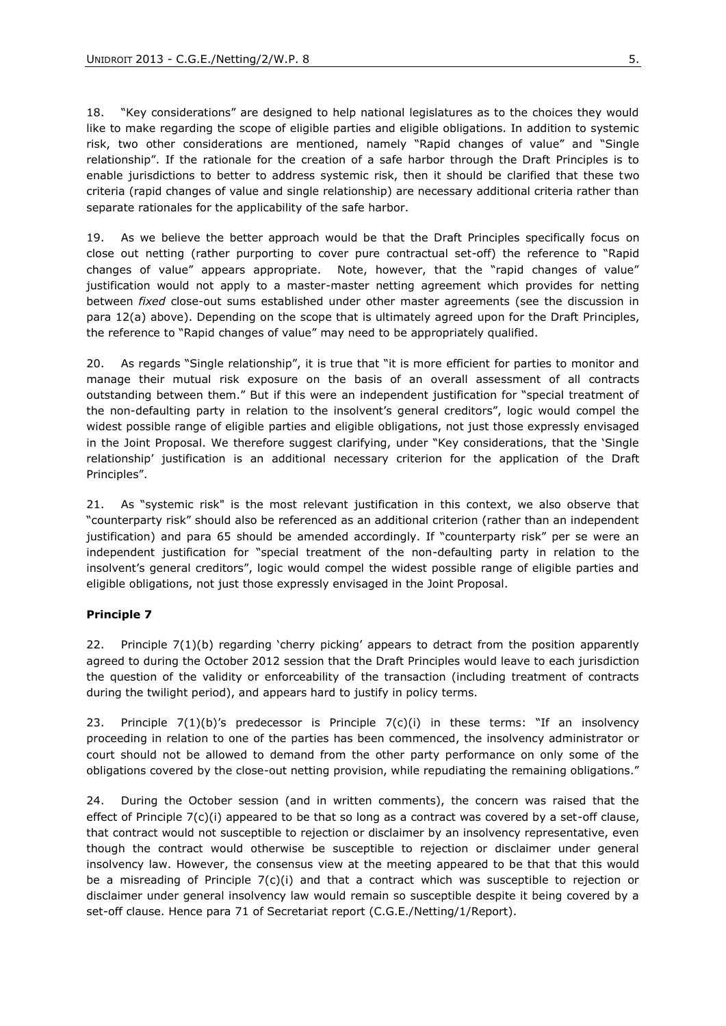18. "Key considerations" are designed to help national legislatures as to the choices they would like to make regarding the scope of eligible parties and eligible obligations. In addition to systemic risk, two other considerations are mentioned, namely "Rapid changes of value" and "Single relationship". If the rationale for the creation of a safe harbor through the Draft Principles is to enable jurisdictions to better to address systemic risk, then it should be clarified that these two criteria (rapid changes of value and single relationship) are necessary additional criteria rather than separate rationales for the applicability of the safe harbor.

19. As we believe the better approach would be that the Draft Principles specifically focus on close out netting (rather purporting to cover pure contractual set-off) the reference to "Rapid changes of value" appears appropriate. Note, however, that the "rapid changes of value" justification would not apply to a master-master netting agreement which provides for netting between *fixed* close-out sums established under other master agreements (see the discussion in para [12\(a\)](#page-2-0) above). Depending on the scope that is ultimately agreed upon for the Draft Principles, the reference to "Rapid changes of value" may need to be appropriately qualified.

20. As regards "Single relationship", it is true that "it is more efficient for parties to monitor and manage their mutual risk exposure on the basis of an overall assessment of all contracts outstanding between them." But if this were an independent justification for "special treatment of the non-defaulting party in relation to the insolvent's general creditors", logic would compel the widest possible range of eligible parties and eligible obligations, not just those expressly envisaged in the Joint Proposal. We therefore suggest clarifying, under "Key considerations, that the 'Single relationship' justification is an additional necessary criterion for the application of the Draft Principles".

21. As "systemic risk" is the most relevant justification in this context, we also observe that "counterparty risk" should also be referenced as an additional criterion (rather than an independent justification) and para 65 should be amended accordingly. If "counterparty risk" per se were an independent justification for "special treatment of the non-defaulting party in relation to the insolvent's general creditors", logic would compel the widest possible range of eligible parties and eligible obligations, not just those expressly envisaged in the Joint Proposal.

## **Principle 7**

22. Principle 7(1)(b) regarding 'cherry picking' appears to detract from the position apparently agreed to during the October 2012 session that the Draft Principles would leave to each jurisdiction the question of the validity or enforceability of the transaction (including treatment of contracts during the twilight period), and appears hard to justify in policy terms.

23. Principle  $7(1)(b)$ 's predecessor is Principle  $7(c)(i)$  in these terms: "If an insolvency proceeding in relation to one of the parties has been commenced, the insolvency administrator or court should not be allowed to demand from the other party performance on only some of the obligations covered by the close-out netting provision, while repudiating the remaining obligations."

24. During the October session (and in written comments), the concern was raised that the effect of Principle 7(c)(i) appeared to be that so long as a contract was covered by a set-off clause, that contract would not susceptible to rejection or disclaimer by an insolvency representative, even though the contract would otherwise be susceptible to rejection or disclaimer under general insolvency law. However, the consensus view at the meeting appeared to be that that this would be a misreading of Principle  $7(c)(i)$  and that a contract which was susceptible to rejection or disclaimer under general insolvency law would remain so susceptible despite it being covered by a set-off clause. Hence para 71 of Secretariat report (C.G.E./Netting/1/Report).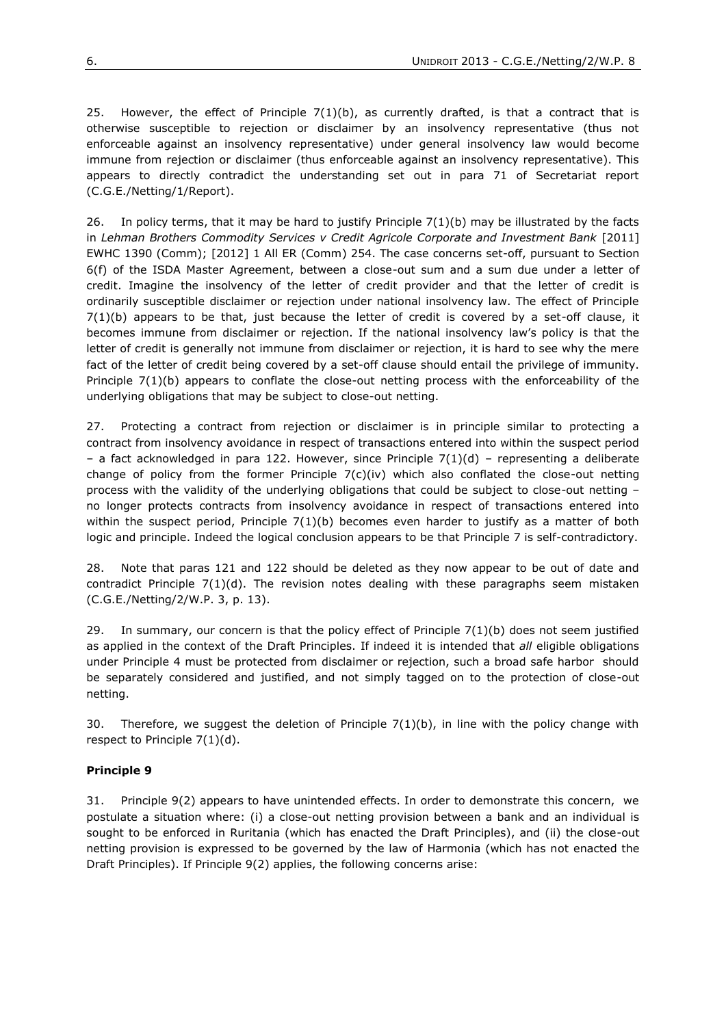25. However, the effect of Principle  $7(1)(b)$ , as currently drafted, is that a contract that is otherwise susceptible to rejection or disclaimer by an insolvency representative (thus not enforceable against an insolvency representative) under general insolvency law would become immune from rejection or disclaimer (thus enforceable against an insolvency representative). This appears to directly contradict the understanding set out in para 71 of Secretariat report (C.G.E./Netting/1/Report).

26. In policy terms, that it may be hard to justify Principle 7(1)(b) may be illustrated by the facts in *Lehman Brothers Commodity Services v Credit Agricole Corporate and Investment Bank* [2011] EWHC 1390 (Comm); [2012] 1 All ER (Comm) 254. The case concerns set-off, pursuant to Section 6(f) of the ISDA Master Agreement, between a close-out sum and a sum due under a letter of credit. Imagine the insolvency of the letter of credit provider and that the letter of credit is ordinarily susceptible disclaimer or rejection under national insolvency law. The effect of Principle  $7(1)(b)$  appears to be that, just because the letter of credit is covered by a set-off clause, it becomes immune from disclaimer or rejection. If the national insolvency law's policy is that the letter of credit is generally not immune from disclaimer or rejection, it is hard to see why the mere fact of the letter of credit being covered by a set-off clause should entail the privilege of immunity. Principle 7(1)(b) appears to conflate the close-out netting process with the enforceability of the underlying obligations that may be subject to close-out netting.

27. Protecting a contract from rejection or disclaimer is in principle similar to protecting a contract from insolvency avoidance in respect of transactions entered into within the suspect period - a fact acknowledged in para 122. However, since Principle  $7(1)(d)$  - representing a deliberate change of policy from the former Principle  $7(c)(iv)$  which also conflated the close-out netting process with the validity of the underlying obligations that could be subject to close-out netting – no longer protects contracts from insolvency avoidance in respect of transactions entered into within the suspect period, Principle  $7(1)(b)$  becomes even harder to justify as a matter of both logic and principle. Indeed the logical conclusion appears to be that Principle 7 is self-contradictory.

28. Note that paras 121 and 122 should be deleted as they now appear to be out of date and contradict Principle  $7(1)(d)$ . The revision notes dealing with these paragraphs seem mistaken (C.G.E./Netting/2/W.P. 3, p. 13).

29. In summary, our concern is that the policy effect of Principle  $7(1)(b)$  does not seem justified as applied in the context of the Draft Principles. If indeed it is intended that *all* eligible obligations under Principle 4 must be protected from disclaimer or rejection, such a broad safe harbor should be separately considered and justified, and not simply tagged on to the protection of close-out netting.

30. Therefore, we suggest the deletion of Principle  $7(1)(b)$ , in line with the policy change with respect to Principle 7(1)(d).

# **Principle 9**

31. Principle 9(2) appears to have unintended effects. In order to demonstrate this concern, we postulate a situation where: (i) a close-out netting provision between a bank and an individual is sought to be enforced in Ruritania (which has enacted the Draft Principles), and (ii) the close-out netting provision is expressed to be governed by the law of Harmonia (which has not enacted the Draft Principles). If Principle 9(2) applies, the following concerns arise: